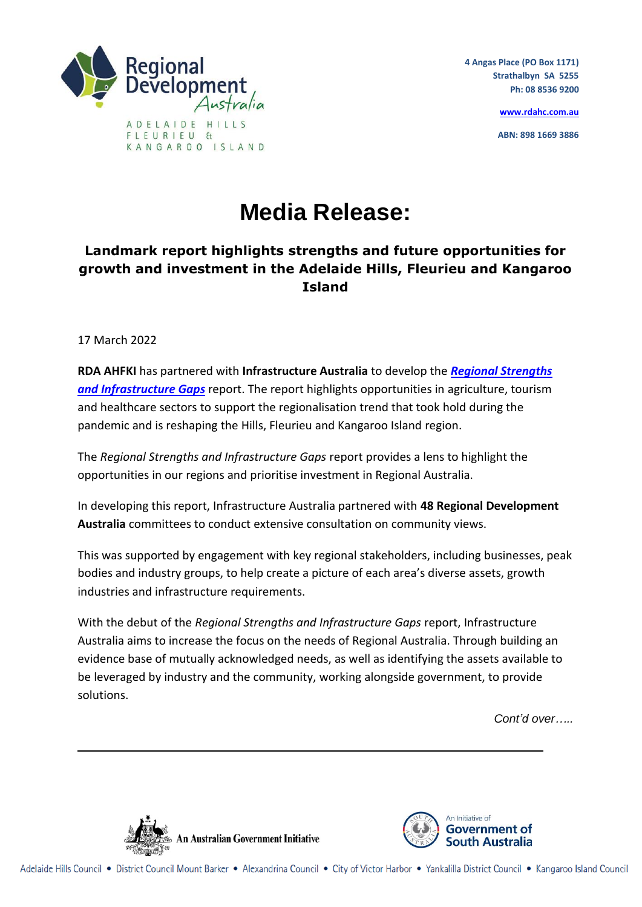

**4 Angas Place (PO Box 1171) Strathalbyn SA 5255 Ph: 08 8536 9200**

**[www.rdahc.com.au](http://www.rdahc.com.au/)**

**ABN: 898 1669 3886**

## **Media Release:**

## **Landmark report highlights strengths and future opportunities for growth and investment in the Adelaide Hills, Fleurieu and Kangaroo Island**

17 March 2022

**RDA AHFKI** has partnered with **Infrastructure Australia** to develop the *[Regional Strengths](https://www.infrastructureaustralia.gov.au/sites/default/files/2022-03/6_RSIG_Regional%20Analysis_SA.pdf)  [and Infrastructure Gaps](https://www.infrastructureaustralia.gov.au/sites/default/files/2022-03/6_RSIG_Regional%20Analysis_SA.pdf)* report. The report highlights opportunities in agriculture, tourism and healthcare sectors to support the regionalisation trend that took hold during the pandemic and is reshaping the Hills, Fleurieu and Kangaroo Island region.

The *Regional Strengths and Infrastructure Gaps* report provides a lens to highlight the opportunities in our regions and prioritise investment in Regional Australia.

In developing this report, Infrastructure Australia partnered with **48 Regional Development Australia** committees to conduct extensive consultation on community views.

This was supported by engagement with key regional stakeholders, including businesses, peak bodies and industry groups, to help create a picture of each area's diverse assets, growth industries and infrastructure requirements.

With the debut of the *Regional Strengths and Infrastructure Gaps* report, Infrastructure Australia aims to increase the focus on the needs of Regional Australia. Through building an evidence base of mutually acknowledged needs, as well as identifying the assets available to be leveraged by industry and the community, working alongside government, to provide solutions.

*Cont'd over…..*



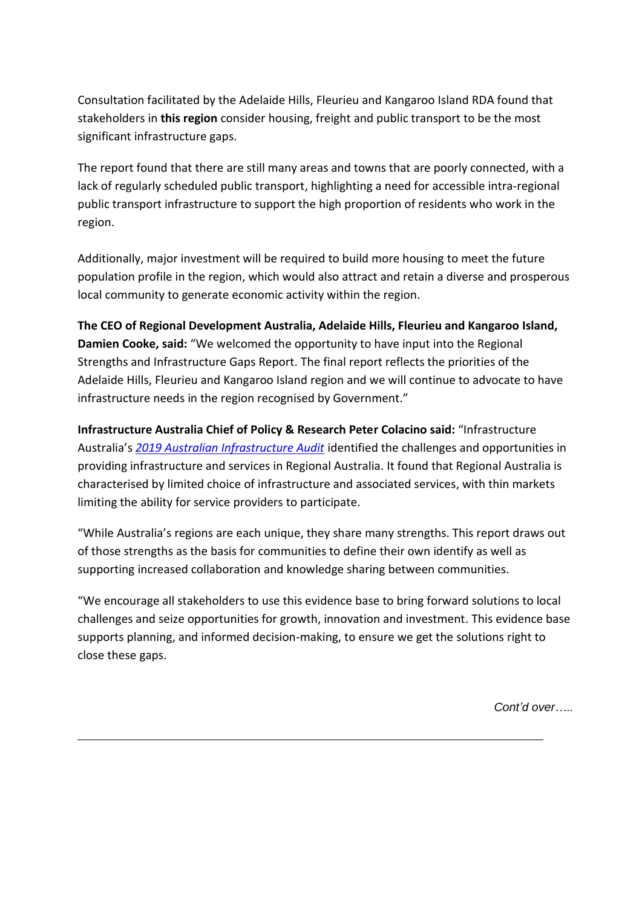Consultation facilitated by the Adelaide Hills, Fleurieu and Kangaroo Island RDA found that stakeholders in **this region** consider housing, freight and public transport to be the most significant infrastructure gaps.

The report found that there are still many areas and towns that are poorly connected, with a lack of regularly scheduled public transport, highlighting a need for accessible intra-regional public transport infrastructure to support the high proportion of residents who work in the region.

Additionally, major investment will be required to build more housing to meet the future population profile in the region, which would also attract and retain a diverse and prosperous local community to generate economic activity within the region.

**The CEO of Regional Development Australia, Adelaide Hills, Fleurieu and Kangaroo Island, Damien Cooke, said:** "We welcomed the opportunity to have input into the Regional Strengths and Infrastructure Gaps Report. The final report reflects the priorities of the Adelaide Hills, Fleurieu and Kangaroo Island region and we will continue to advocate to have infrastructure needs in the region recognised by Government."

**Infrastructure Australia Chief of Policy & Research Peter Colacino said:** "Infrastructure Australia's *[2019 Australian Infrastructure Audit](https://www.infrastructureaustralia.gov.au/publications/australian-infrastructure-audit-2019)* identified the challenges and opportunities in providing infrastructure and services in Regional Australia. It found that Regional Australia is characterised by limited choice of infrastructure and associated services, with thin markets limiting the ability for service providers to participate.

"While Australia's regions are each unique, they share many strengths. This report draws out of those strengths as the basis for communities to define their own identify as well as supporting increased collaboration and knowledge sharing between communities.

"We encourage all stakeholders to use this evidence base to bring forward solutions to local challenges and seize opportunities for growth, innovation and investment. This evidence base supports planning, and informed decision-making, to ensure we get the solutions right to close these gaps.

*Cont'd over…..*